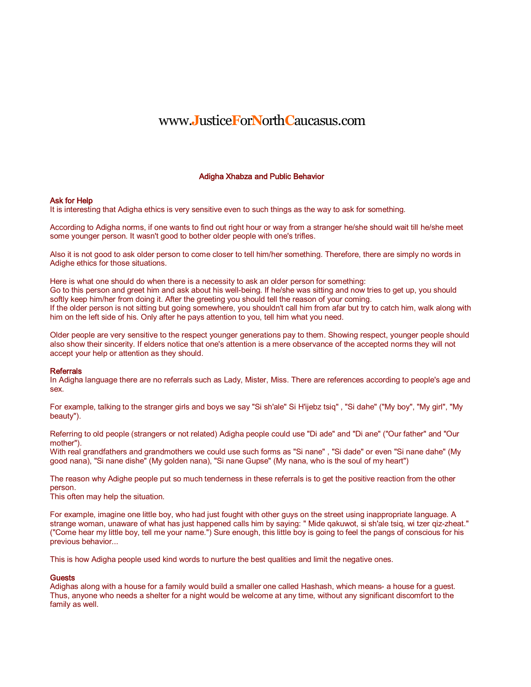# www.**J**ustice**F**or**N**orth**C**aucasus.com

## Adigha Xhabza and Public Behavior

#### Ask for Help

It is interesting that Adigha ethics is very sensitive even to such things as the way to ask for something.

According to Adigha norms, if one wants to find out right hour or way from astranger he/she should wait till he/she meet some younger person. It wasn't good to bother older people with one's trifles.

Also it is not good to ask older person to come closer to tell him/her something. Therefore, there are simply no words in Adighe ethics for those situations.

Here is what one should do when there is a necessity to ask an older person for something: Go to this person and greet him and ask about his well-being. If he/she was sitting and now tries to get up, you should softly keep him/her from doing it. After the greeting you should tell the reason of your coming. If the older person is not sitting but going somewhere, you shouldn't call him from afar but try to catch him, walk along with him on the left side of his. Only after he pays attention to you, tell him what you need.

Older people are very sensitive to the respect younger generations pay to them. Showing respect, younger people should also show their sincerity. If elders notice that one's attention is a mere observance of the accepted norms they will not accept your help or attention as they should.

#### **Referrals**

In Adigha language there are no referrals such as Lady, Mister, Miss. There are references according to people's age and sex.

For example, talking to the stranger girls and boys we say "Si sh'ale" Si H'ijebz tsiq" , "Si dahe" ("My boy", "My girl", "My beauty").

Referring to old people (strangers or not related) Adigha people could use "Di ade" and "Di ane" ("Our father" and "Our mother").

With real grandfathers and grandmothers we could use such forms as "Si nane" , "Si dade" or even "Si nane dahe" (My good nana), "Si nane dishe" (My golden nana), "Si nane Gupse" (My nana, who is the soul of my heart")

The reason why Adighe people put so much tenderness in these referrals is to get the positive reaction from the other person.

This often may help the situation.

For example, imagine one little boy, who had just fought with other guys on the street using inappropriate language. A strange woman, unaware of what has just happened calls him by saying: " Mide qakuwot, si sh'ale tsig, wi tzer qiz-zheat." ("Come hear my little boy, tell me your name.") Sure enough, this little boy is going to feel the pangs of conscious for his previous behavior...

This is how Adigha people used kind words to nurture the best qualities and limit the negative ones.

### **Guests**

Adighas along with a house for a family would build a smaller one called Hashash, which means- a house for a guest. Thus, anyone who needs a shelter for a night would be welcome at any time, without any significant discomfort to the family as well.